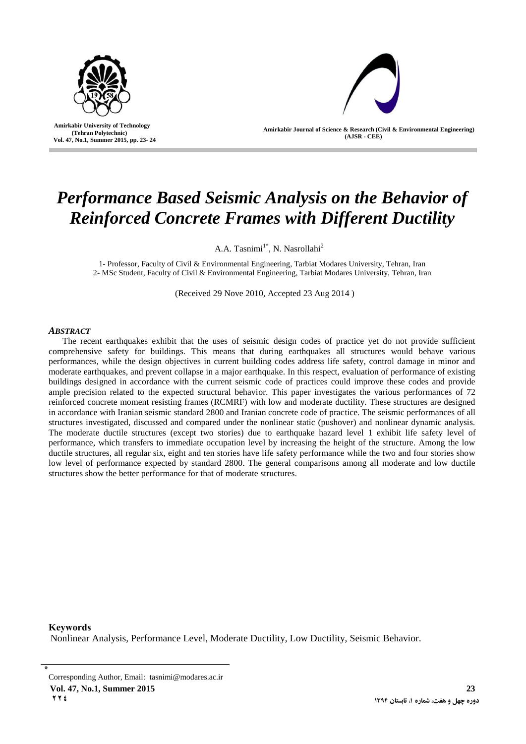

 **Amirkabir University of Technology (Tehran Polytechnic) Vol. 47, No.1, Summer 2015, pp. 23- 24**

**Amirkabir Journal of Science & Research (Civil & Environmental Engineering) (AJSR - CEE)**

# *Performance Based Seismic Analysis on the Behavior of Reinforced Concrete Frames with Different Ductility*

A.A. Tasnimi<sup>1\*</sup>, N. Nasrollahi<sup>2</sup>

1- Professor, Faculty of Civil & Environmental Engineering, Tarbiat Modares University, Tehran, Iran 2- MSc Student, Faculty of Civil & Environmental Engineering, Tarbiat Modares University, Tehran, Iran

(Received 29 Nove 2010, Accepted 23 Aug 2014 )

#### *ABSTRACT*

I

The recent earthquakes exhibit that the uses of seismic design codes of practice yet do not provide sufficient comprehensive safety for buildings. This means that during earthquakes all structures would behave various performances, while the design objectives in current building codes address life safety, control damage in minor and moderate earthquakes, and prevent collapse in a major earthquake. In this respect, evaluation of performance of existing buildings designed in accordance with the current seismic code of practices could improve these codes and provide ample precision related to the expected structural behavior. This paper investigates the various performances of 72 reinforced concrete moment resisting frames (RCMRF) with low and moderate ductility. These structures are designed in accordance with Iranian seismic standard 2800 and Iranian concrete code of practice. The seismic performances of all structures investigated, discussed and compared under the nonlinear static (pushover) and nonlinear dynamic analysis. The moderate ductile structures (except two stories) due to earthquake hazard level 1 exhibit life safety level of performance, which transfers to immediate occupation level by increasing the height of the structure. Among the low ductile structures, all regular six, eight and ten stories have life safety performance while the two and four stories show low level of performance expected by standard 2800. The general comparisons among all moderate and low ductile structures show the better performance for that of moderate structures.

**Keywords** Nonlinear Analysis, Performance Level, Moderate Ductility, Low Ductility, Seismic Behavior.

**Vol. 47, No.1, Summer 2015 23 224 1394 1394 1394 1394 1394 1394 1394 1394 1394 1394 1394 1394** 

<sup>٭</sup> Corresponding Author, Email: [tasnimi@modares.ac.ir](mailto:%20tasnimi@modares.ac.ir)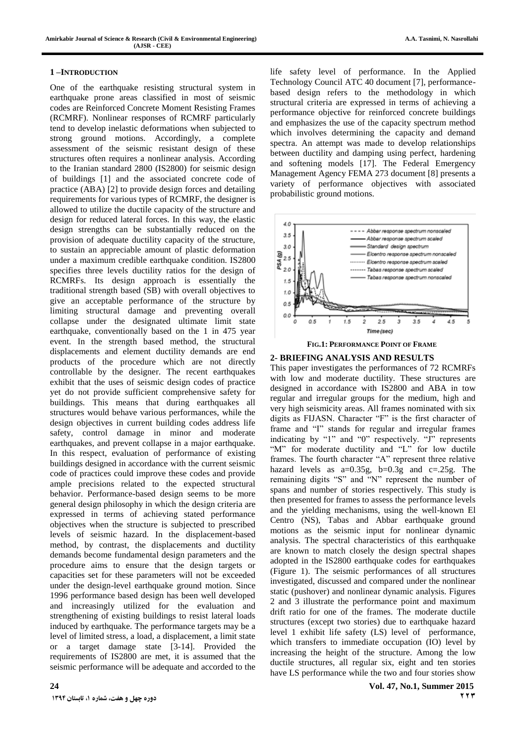#### **1 –INTRODUCTION**

One of the earthquake resisting structural system in earthquake prone areas classified in most of seismic codes are Reinforced Concrete Moment Resisting Frames (RCMRF). Nonlinear responses of RCMRF particularly tend to develop inelastic deformations when subjected to strong ground motions. Accordingly, a complete assessment of the seismic resistant design of these structures often requires a nonlinear analysis. According to the Iranian standard 2800 (IS2800) for seismic design of buildings [1] and the associated concrete code of practice (ABA) [2] to provide design forces and detailing requirements for various types of RCMRF, the designer is allowed to utilize the ductile capacity of the structure and design for reduced lateral forces. In this way, the elastic design strengths can be substantially reduced on the provision of adequate ductility capacity of the structure, to sustain an appreciable amount of plastic deformation under a maximum credible earthquake condition. IS2800 specifies three levels ductility ratios for the design of RCMRFs. Its design approach is essentially the traditional strength based (SB) with overall objectives to give an acceptable performance of the structure by limiting structural damage and preventing overall collapse under the designated ultimate limit state earthquake, conventionally based on the 1 in 475 year event. In the strength based method, the structural displacements and element ductility demands are end products of the procedure which are not directly controllable by the designer. The recent earthquakes exhibit that the uses of seismic design codes of practice yet do not provide sufficient comprehensive safety for buildings. This means that during earthquakes all structures would behave various performances, while the design objectives in current building codes address life safety, control damage in minor and moderate earthquakes, and prevent collapse in a major earthquake. In this respect, evaluation of performance of existing buildings designed in accordance with the current seismic code of practices could improve these codes and provide ample precisions related to the expected structural behavior. Performance-based design seems to be more general design philosophy in which the design criteria are expressed in terms of achieving stated performance objectives when the structure is subjected to prescribed levels of seismic hazard. In the displacement-based method, by contrast, the displacements and ductility demands become fundamental design parameters and the procedure aims to ensure that the design targets or capacities set for these parameters will not be exceeded under the design-level earthquake ground motion. Since 1996 performance based design has been well developed and increasingly utilized for the evaluation and strengthening of existing buildings to resist lateral loads induced by earthquake. The performance targets may be a level of limited stress, a load, a displacement, a limit state or a target damage state [3-14]. Provided the requirements of IS2800 are met, it is assumed that the seismic performance will be adequate and accorded to the life safety level of performance. In the Applied Technology Council ATC 40 document [7], performancebased design refers to the methodology in which structural criteria are expressed in terms of achieving a performance objective for reinforced concrete buildings and emphasizes the use of the capacity spectrum method which involves determining the capacity and demand spectra. An attempt was made to develop relationships between ductility and damping using perfect, hardening and softening models [17]. The Federal Emergency Management Agency FEMA 273 document [8] presents a variety of performance objectives with associated probabilistic ground motions.





## **2- BRIEFING ANALYSIS AND RESULTS**

This paper investigates the performances of 72 RCMRFs with low and moderate ductility. These structures are designed in accordance with IS2800 and ABA in tow regular and irregular groups for the medium, high and very high seismicity areas. All frames nominated with six digits as FIJASN. Character "F" is the first character of frame and "I" stands for regular and irregular frames indicating by "1" and "0" respectively. "J" represents "M" for moderate ductility and "L" for low ductile frames. The fourth character "A" represent three relative hazard levels as  $a=0.35g$ ,  $b=0.3g$  and  $c=.25g$ . The remaining digits "S" and "N" represent the number of spans and number of stories respectively. This study is then presented for frames to assess the performance levels and the yielding mechanisms, using the well-known El Centro (NS), Tabas and Abbar earthquake ground motions as the seismic input for nonlinear dynamic analysis. The spectral characteristics of this earthquake are known to match closely the design spectral shapes adopted in the IS2800 earthquake codes for earthquakes (Figure 1). The seismic performances of all structures investigated, discussed and compared under the nonlinear static (pushover) and nonlinear dynamic analysis. Figures 2 and 3 illustrate the performance point and maximum drift ratio for one of the frames. The moderate ductile structures (except two stories) due to earthquake hazard level 1 exhibit life safety (LS) level of performance, which transfers to immediate occupation (IO) level by increasing the height of the structure. Among the low ductile structures, all regular six, eight and ten stories have LS performance while the two and four stories show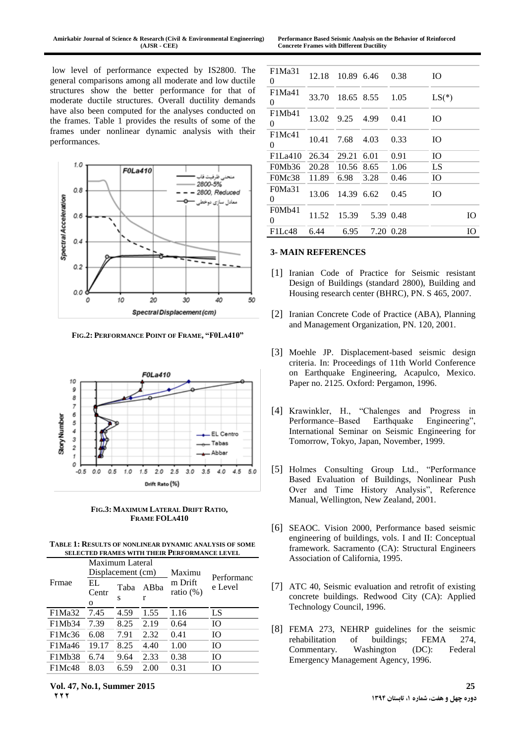**Performance Based Seismic Analysis on the Behavior of Reinforced Concrete Frames with Different Ductility**

low level of performance expected by IS2800. The general comparisons among all moderate and low ductile structures show the better performance for that of moderate ductile structures. Overall ductility demands have also been computed for the analyses conducted on the frames. Table 1 provides the results of some of the frames under nonlinear dynamic analysis with their performances.



**FIG.2: PERFORMANCE POINT OF FRAME, "F0LA410"**



**FIG.3: MAXIMUM LATERAL DRIFT RATIO, FRAME FOLA410**

**TABLE 1: RESULTS OF NONLINEAR DYNAMIC ANALYSIS OF SOME SELECTED FRAMES WITH THEIR PERFORMANCE LEVEL**

|        | Maximum Lateral<br>Displacement (cm) |           |                       | Maximu                  |                       |
|--------|--------------------------------------|-----------|-----------------------|-------------------------|-----------------------|
| Frmae  | EL<br>Centr<br>$\Omega$              | Taba<br>S | AB <sub>ba</sub><br>r | m Drift<br>ratio $(\%)$ | Performanc<br>e Level |
| F1Ma32 | 7.45                                 | 4.59      | 1.55                  | 1.16                    | LS                    |
| F1Mb34 | 7.39                                 | 8.25      | 2.19                  | 0.64                    | IO                    |
| F1Mc36 | 6.08                                 | 7.91      | 2.32                  | 0.41                    | Ю                     |
| F1Ma46 | 19.17                                | 8.25      | 4.40                  | 1.00                    | Ю                     |
| F1Mb38 | 6.74                                 | 9.64      | 2.33                  | 0.38                    | Ю                     |
| F1Mc48 | 8.03                                 | 6.59      | 2.00                  | 0.31                    | Ю                     |

| F1Ma31<br>0                           | 12.18 | 10.89 6.46 |      | 0.38      | <b>IO</b> |
|---------------------------------------|-------|------------|------|-----------|-----------|
| F1Ma41<br>0                           | 33.70 | 18.65 8.55 |      | 1.05      | $LS(*)$   |
| F1Mb41<br>0                           | 13.02 | 9.25       | 4.99 | 0.41      | <b>IO</b> |
| F1Mc41<br>0                           | 10.41 | 7.68       | 4.03 | 0.33      | IO.       |
| F1La410                               | 26.34 | 29.21 6.01 |      | 0.91      | IO.       |
| F <sub>0</sub> Mb <sub>36</sub>       | 20.28 | 10.56 8.65 |      | 1.06      | LS        |
| F <sub>0</sub> M <sub>c</sub> 38      | 11.89 | 6.98       | 3.28 | 0.46      | <b>IO</b> |
| F0Ma31<br>0                           | 13.06 | 14.39 6.62 |      | 0.45      | <b>IO</b> |
| F <sub>0</sub> M <sub>b</sub> 41<br>0 | 11.52 | 15.39      |      | 5.39 0.48 | IO        |
| F1Lc48                                | 6.44  | 6.95       |      | 7.20 0.28 | IO        |

### **3- MAIN REFERENCES**

- [1] Iranian Code of Practice for Seismic resistant Design of Buildings (standard 2800), Building and Housing research center (BHRC), PN. S 465, 2007.
- [2] Iranian Concrete Code of Practice (ABA), Planning and Management Organization, PN. 120, 2001.
- [3] Moehle JP. Displacement-based seismic design criteria. In: Proceedings of 11th World Conference on Earthquake Engineering, Acapulco, Mexico. Paper no. 2125. Oxford: Pergamon, 1996.
- [4] Krawinkler, H., "Chalenges and Progress in Performance–Based Earthquake Engineering", International Seminar on Seismic Engineering for Tomorrow, Tokyo, Japan, November, 1999.
- [5] Holmes Consulting Group Ltd., "Performance Based Evaluation of Buildings, Nonlinear Push Over and Time History Analysis", Reference Manual, Wellington, New Zealand, 2001.
- [6] SEAOC. Vision 2000, Performance based seismic engineering of buildings, vols. I and II: Conceptual framework. Sacramento (CA): Structural Engineers Association of California, 1995.
- [7] ATC 40, Seismic evaluation and retrofit of existing concrete buildings. Redwood City (CA): Applied Technology Council, 1996.
- [8] FEMA 273, NEHRP guidelines for the seismic rehabilitation of buildings; FEMA 274, Commentary. Washington (DC): Federal Emergency Management Agency, 1996.

**Vol. 47, No.1, Summer 2015 25 222**